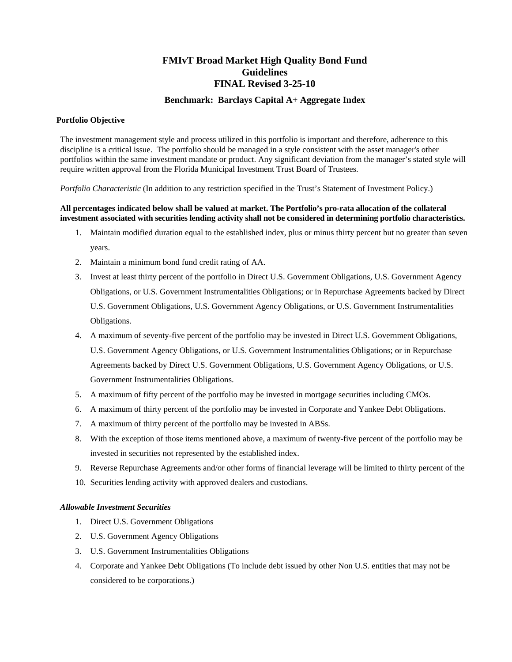# **FMIvT Broad Market High Quality Bond Fund Guidelines FINAL Revised 3-25-10**

## **Benchmark: Barclays Capital A+ Aggregate Index**

#### **Portfolio Objective**

The investment management style and process utilized in this portfolio is important and therefore, adherence to this discipline is a critical issue. The portfolio should be managed in a style consistent with the asset manager's other portfolios within the same investment mandate or product. Any significant deviation from the manager's stated style will require written approval from the Florida Municipal Investment Trust Board of Trustees.

*Portfolio Characteristic* (In addition to any restriction specified in the Trust's Statement of Investment Policy.)

## **All percentages indicated below shall be valued at market. The Portfolio's pro-rata allocation of the collateral investment associated with securities lending activity shall not be considered in determining portfolio characteristics.**

- 1. Maintain modified duration equal to the established index, plus or minus thirty percent but no greater than seven years.
- 2. Maintain a minimum bond fund credit rating of AA.
- 3. Invest at least thirty percent of the portfolio in Direct U.S. Government Obligations, U.S. Government Agency Obligations, or U.S. Government Instrumentalities Obligations; or in Repurchase Agreements backed by Direct U.S. Government Obligations, U.S. Government Agency Obligations, or U.S. Government Instrumentalities Obligations.
- 4. A maximum of seventy-five percent of the portfolio may be invested in Direct U.S. Government Obligations, U.S. Government Agency Obligations, or U.S. Government Instrumentalities Obligations; or in Repurchase Agreements backed by Direct U.S. Government Obligations, U.S. Government Agency Obligations, or U.S. Government Instrumentalities Obligations.
- 5. A maximum of fifty percent of the portfolio may be invested in mortgage securities including CMOs.
- 6. A maximum of thirty percent of the portfolio may be invested in Corporate and Yankee Debt Obligations.
- 7. A maximum of thirty percent of the portfolio may be invested in ABSs.
- 8. With the exception of those items mentioned above, a maximum of twenty-five percent of the portfolio may be invested in securities not represented by the established index.
- 9. Reverse Repurchase Agreements and/or other forms of financial leverage will be limited to thirty percent of the
- 10. Securities lending activity with approved dealers and custodians.

#### *Allowable Investment Securities*

- 1. Direct U.S. Government Obligations
- 2. U.S. Government Agency Obligations
- 3. U.S. Government Instrumentalities Obligations
- 4. Corporate and Yankee Debt Obligations (To include debt issued by other Non U.S. entities that may not be considered to be corporations.)